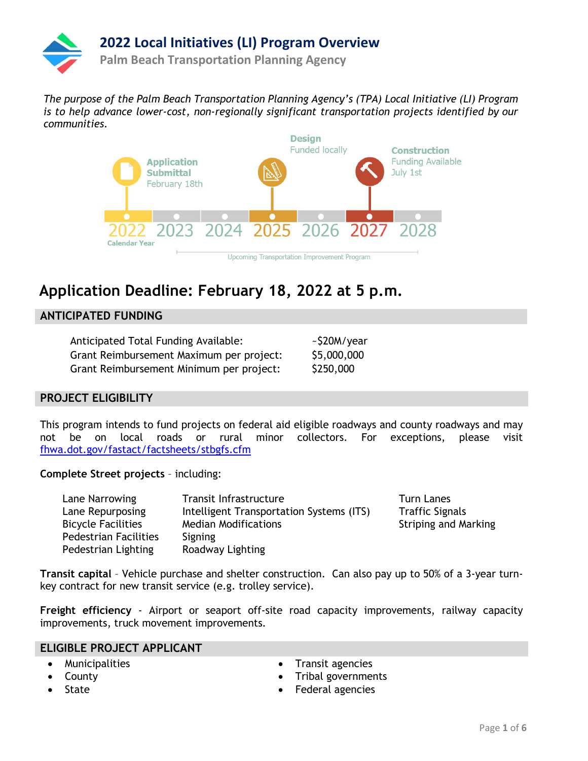

*The purpose of the Palm Beach Transportation Planning Agency's (TPA) Local Initiative (LI) Program is to help advance lower-cost, non-regionally significant transportation projects identified by our communities.*



# **Application Deadline: February 18, 2022 at 5 p.m.**

### **ANTICIPATED FUNDING**

| Anticipated Total Funding Available:     | ~\$20M/year |
|------------------------------------------|-------------|
| Grant Reimbursement Maximum per project: | \$5,000,000 |
| Grant Reimbursement Minimum per project: | \$250,000   |

### **PROJECT ELIGIBILITY**

This program intends to fund projects on federal aid eligible roadways and county roadways and may not be on local roads or rural minor collectors. For exceptions, please visit [fhwa.dot.gov/fastact/factsheets/stbgfs.cfm](https://www.fhwa.dot.gov/fastact/factsheets/stbgfs.cfm)

**Complete Street projects** – including:

| Lane Narrowing               | Transit Infrastructure                   | <b>Turn Lanes</b>           |
|------------------------------|------------------------------------------|-----------------------------|
| Lane Repurposing             | Intelligent Transportation Systems (ITS) | <b>Traffic Signals</b>      |
| <b>Bicycle Facilities</b>    | <b>Median Modifications</b>              | <b>Striping and Marking</b> |
| <b>Pedestrian Facilities</b> | Signing                                  |                             |
| Pedestrian Lighting          | Roadway Lighting                         |                             |

**Transit capital** – Vehicle purchase and shelter construction. Can also pay up to 50% of a 3-year turnkey contract for new transit service (e.g. trolley service).

**Freight efficiency** - Airport or seaport off-site road capacity improvements, railway capacity improvements, truck movement improvements.

### **ELIGIBLE PROJECT APPLICANT**

- Municipalities
- County **State**
- Transit agencies
- Tribal governments
- Federal agencies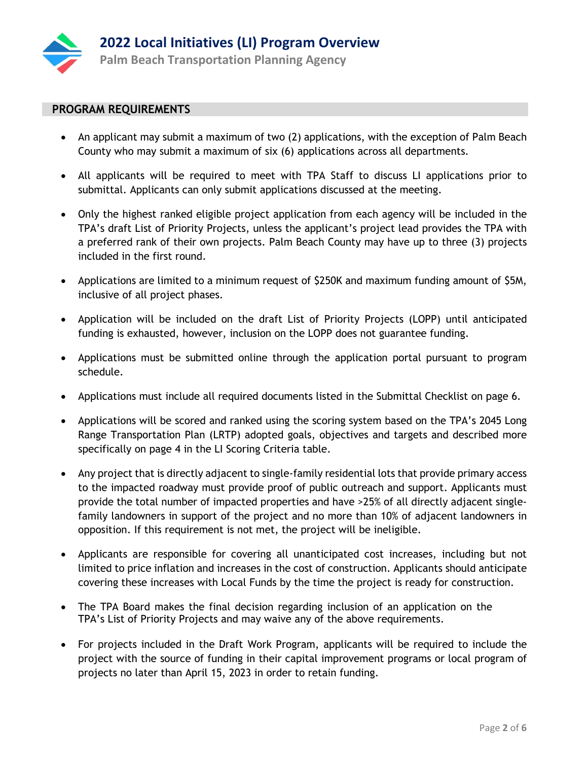

### **PROGRAM REQUIREMENTS**

- An applicant may submit a maximum of two (2) applications, with the exception of Palm Beach County who may submit a maximum of six (6) applications across all departments.
- All applicants will be required to meet with TPA Staff to discuss LI applications prior to submittal. Applicants can only submit applications discussed at the meeting.
- Only the highest ranked eligible project application from each agency will be included in the TPA's draft List of Priority Projects, unless the applicant's project lead provides the TPA with a preferred rank of their own projects. Palm Beach County may have up to three (3) projects included in the first round.
- Applications are limited to a minimum request of \$250K and maximum funding amount of \$5M, inclusive of all project phases.
- Application will be included on the draft List of Priority Projects (LOPP) until anticipated funding is exhausted, however, inclusion on the LOPP does not guarantee funding.
- Applications must be submitted online through the application portal pursuant to program schedule.
- Applications must include all required documents listed in the Submittal Checklist on page 6.
- Applications will be scored and ranked using the scoring system based on the TPA's 2045 Long Range Transportation Plan (LRTP) adopted goals, objectives and targets and described more specifically on page 4 in the LI Scoring Criteria table.
- Any project that is directly adjacent to single-family residential lots that provide primary access to the impacted roadway must provide proof of public outreach and support. Applicants must provide the total number of impacted properties and have >25% of all directly adjacent singlefamily landowners in support of the project and no more than 10% of adjacent landowners in opposition. If this requirement is not met, the project will be ineligible.
- Applicants are responsible for covering all unanticipated cost increases, including but not limited to price inflation and increases in the cost of construction. Applicants should anticipate covering these increases with Local Funds by the time the project is ready for construction.
- The TPA Board makes the final decision regarding inclusion of an application on the TPA's List of Priority Projects and may waive any of the above requirements.
- For projects included in the Draft Work Program, applicants will be required to include the project with the source of funding in their capital improvement programs or local program of projects no later than April 15, 2023 in order to retain funding.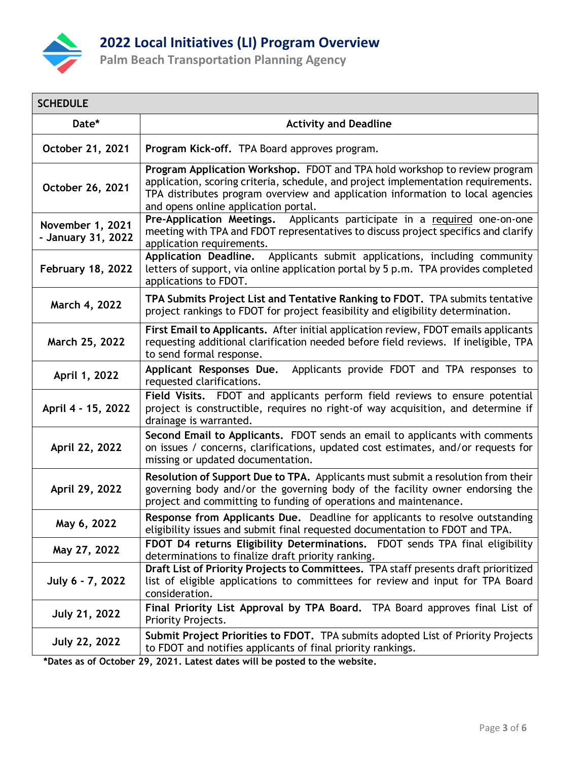

# **2022 Local Initiatives (LI) Program Overview**

**Palm Beach Transportation Planning Agency**

| <b>SCHEDULE</b>                        |                                                                                                                                                                                                                                                                                           |
|----------------------------------------|-------------------------------------------------------------------------------------------------------------------------------------------------------------------------------------------------------------------------------------------------------------------------------------------|
| Date*                                  | <b>Activity and Deadline</b>                                                                                                                                                                                                                                                              |
| October 21, 2021                       | Program Kick-off. TPA Board approves program.                                                                                                                                                                                                                                             |
| October 26, 2021                       | Program Application Workshop. FDOT and TPA hold workshop to review program<br>application, scoring criteria, schedule, and project implementation requirements.<br>TPA distributes program overview and application information to local agencies<br>and opens online application portal. |
| November 1, 2021<br>- January 31, 2022 | Pre-Application Meetings. Applicants participate in a required one-on-one<br>meeting with TPA and FDOT representatives to discuss project specifics and clarify<br>application requirements.                                                                                              |
| <b>February 18, 2022</b>               | Applicants submit applications, including community<br><b>Application Deadline.</b><br>letters of support, via online application portal by 5 p.m. TPA provides completed<br>applications to FDOT.                                                                                        |
| March 4, 2022                          | TPA Submits Project List and Tentative Ranking to FDOT. TPA submits tentative<br>project rankings to FDOT for project feasibility and eligibility determination.                                                                                                                          |
| March 25, 2022                         | First Email to Applicants. After initial application review, FDOT emails applicants<br>requesting additional clarification needed before field reviews. If ineligible, TPA<br>to send formal response.                                                                                    |
| April 1, 2022                          | Applicants provide FDOT and TPA responses to<br>Applicant Responses Due.<br>requested clarifications.                                                                                                                                                                                     |
| April 4 - 15, 2022                     | Field Visits. FDOT and applicants perform field reviews to ensure potential<br>project is constructible, requires no right-of way acquisition, and determine if<br>drainage is warranted.                                                                                                 |
| April 22, 2022                         | Second Email to Applicants. FDOT sends an email to applicants with comments<br>on issues / concerns, clarifications, updated cost estimates, and/or requests for<br>missing or updated documentation.                                                                                     |
| April 29, 2022                         | Resolution of Support Due to TPA. Applicants must submit a resolution from their<br>governing body and/or the governing body of the facility owner endorsing the<br>project and committing to funding of operations and maintenance.                                                      |
| May 6, 2022                            | Response from Applicants Due. Deadline for applicants to resolve outstanding<br>eligibility issues and submit final requested documentation to FDOT and TPA.                                                                                                                              |
| May 27, 2022                           | FDOT D4 returns Eligibility Determinations. FDOT sends TPA final eligibility<br>determinations to finalize draft priority ranking.                                                                                                                                                        |
| July 6 - 7, 2022                       | Draft List of Priority Projects to Committees. TPA staff presents draft prioritized<br>list of eligible applications to committees for review and input for TPA Board<br>consideration.                                                                                                   |
| <b>July 21, 2022</b>                   | Final Priority List Approval by TPA Board. TPA Board approves final List of<br>Priority Projects.                                                                                                                                                                                         |
| <b>July 22, 2022</b>                   | Submit Project Priorities to FDOT. TPA submits adopted List of Priority Projects<br>to FDOT and notifies applicants of final priority rankings.                                                                                                                                           |

**\*Dates as of October 29, 2021. Latest dates will be posted to the website.**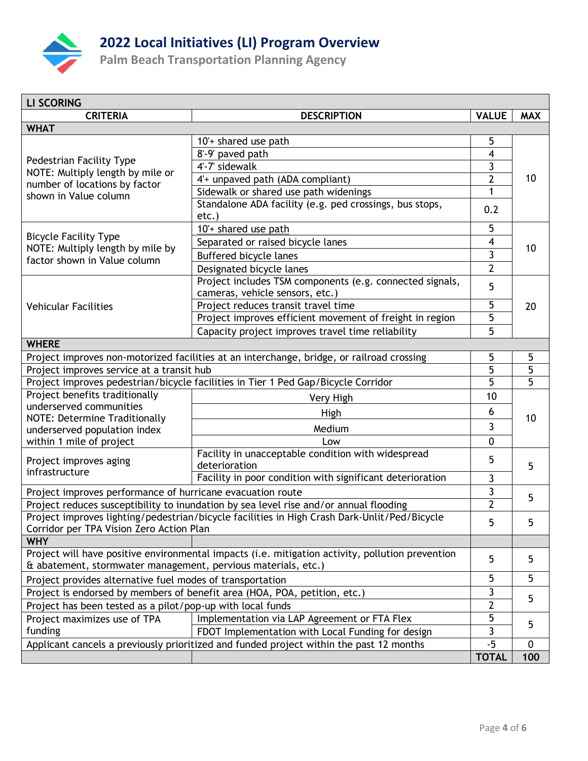

# **2022 Local Initiatives (LI) Program Overview**

**Palm Beach Transportation Planning Agency**

| <b>LI SCORING</b>                                                                                                                                                 |                                                                                       |                |            |  |  |
|-------------------------------------------------------------------------------------------------------------------------------------------------------------------|---------------------------------------------------------------------------------------|----------------|------------|--|--|
| <b>CRITERIA</b>                                                                                                                                                   | <b>DESCRIPTION</b>                                                                    | <b>VALUE</b>   | <b>MAX</b> |  |  |
| <b>WHAT</b>                                                                                                                                                       |                                                                                       |                |            |  |  |
|                                                                                                                                                                   | 10'+ shared use path                                                                  | 5              |            |  |  |
|                                                                                                                                                                   | 8'-9' paved path                                                                      | 4              |            |  |  |
| Pedestrian Facility Type<br>NOTE: Multiply length by mile or                                                                                                      | 4'-7' sidewalk                                                                        | 3              |            |  |  |
| number of locations by factor                                                                                                                                     | 4'+ unpaved path (ADA compliant)                                                      | $\overline{2}$ | 10         |  |  |
| shown in Value column                                                                                                                                             | Sidewalk or shared use path widenings                                                 | 1              |            |  |  |
|                                                                                                                                                                   | Standalone ADA facility (e.g. ped crossings, bus stops,                               | 0.2            |            |  |  |
|                                                                                                                                                                   | etc.)                                                                                 |                |            |  |  |
|                                                                                                                                                                   | 10'+ shared use path                                                                  | 5              | 10         |  |  |
| <b>Bicycle Facility Type</b>                                                                                                                                      | Separated or raised bicycle lanes                                                     | 4              |            |  |  |
| NOTE: Multiply length by mile by<br>factor shown in Value column                                                                                                  | <b>Buffered bicycle lanes</b>                                                         | 3              |            |  |  |
|                                                                                                                                                                   | Designated bicycle lanes                                                              | $\overline{2}$ |            |  |  |
|                                                                                                                                                                   | Project includes TSM components (e.g. connected signals,                              |                |            |  |  |
|                                                                                                                                                                   | cameras, vehicle sensors, etc.)                                                       | 5              |            |  |  |
| <b>Vehicular Facilities</b>                                                                                                                                       | Project reduces transit travel time                                                   | 5              | 20         |  |  |
|                                                                                                                                                                   | Project improves efficient movement of freight in region                              | 5              |            |  |  |
|                                                                                                                                                                   | Capacity project improves travel time reliability                                     | 5              |            |  |  |
| <b>WHERE</b>                                                                                                                                                      |                                                                                       |                |            |  |  |
| Project improves non-motorized facilities at an interchange, bridge, or railroad crossing                                                                         |                                                                                       | 5              | 5          |  |  |
| Project improves service at a transit hub                                                                                                                         |                                                                                       | 5              | 5          |  |  |
| Project improves pedestrian/bicycle facilities in Tier 1 Ped Gap/Bicycle Corridor                                                                                 |                                                                                       | 5              | 5          |  |  |
| Project benefits traditionally                                                                                                                                    | Very High                                                                             | 10             |            |  |  |
| underserved communities                                                                                                                                           | High                                                                                  | 6              | 10         |  |  |
| NOTE: Determine Traditionally                                                                                                                                     |                                                                                       | 3              |            |  |  |
| underserved population index                                                                                                                                      | Medium                                                                                |                |            |  |  |
| within 1 mile of project                                                                                                                                          | Low                                                                                   | 0              |            |  |  |
| Project improves aging                                                                                                                                            | Facility in unacceptable condition with widespread<br>deterioration                   | 5              |            |  |  |
| infrastructure                                                                                                                                                    | Facility in poor condition with significant deterioration                             |                | 5          |  |  |
|                                                                                                                                                                   |                                                                                       | 3              |            |  |  |
| Project improves performance of hurricane evacuation route                                                                                                        |                                                                                       | 3              | 5          |  |  |
|                                                                                                                                                                   | Project reduces susceptibility to inundation by sea level rise and/or annual flooding | $\mathbf{2}$   |            |  |  |
| Project improves lighting/pedestrian/bicycle facilities in High Crash Dark-Unlit/Ped/Bicycle<br>Corridor per TPA Vision Zero Action Plan                          |                                                                                       | 5              | 5          |  |  |
| <b>WHY</b>                                                                                                                                                        |                                                                                       |                |            |  |  |
|                                                                                                                                                                   |                                                                                       |                |            |  |  |
| Project will have positive environmental impacts (i.e. mitigation activity, pollution prevention<br>& abatement, stormwater management, pervious materials, etc.) |                                                                                       | 5              | 5          |  |  |
| Project provides alternative fuel modes of transportation                                                                                                         |                                                                                       | 5              | 5          |  |  |
|                                                                                                                                                                   | Project is endorsed by members of benefit area (HOA, POA, petition, etc.)             | 3              | 5          |  |  |
| Project has been tested as a pilot/pop-up with local funds                                                                                                        |                                                                                       | $\overline{2}$ |            |  |  |
| Project maximizes use of TPA                                                                                                                                      | Implementation via LAP Agreement or FTA Flex                                          | 5              | 5          |  |  |
| funding                                                                                                                                                           | FDOT Implementation with Local Funding for design                                     | 3              |            |  |  |
| Applicant cancels a previously prioritized and funded project within the past 12 months                                                                           |                                                                                       | $-5$           | 0          |  |  |
|                                                                                                                                                                   |                                                                                       | <b>TOTAL</b>   | 100        |  |  |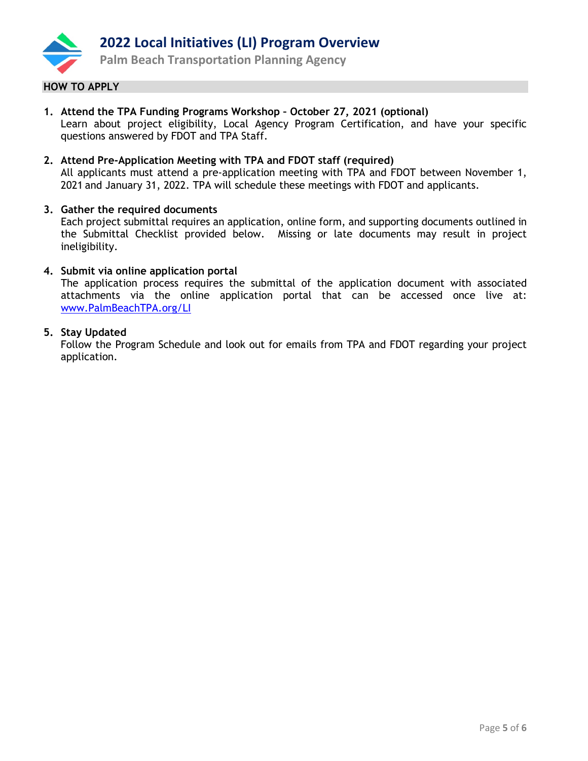

### **HOW TO APPLY**

- **1. Attend the TPA Funding Programs Workshop – October 27, 2021 (optional)** Learn about project eligibility, Local Agency Program Certification, and have your specific questions answered by FDOT and TPA Staff.
- **2. Attend Pre-Application Meeting with TPA and FDOT staff (required)** All applicants must attend a pre-application meeting with TPA and FDOT between November 1, 2021 and January 31, 2022. TPA will schedule these meetings with FDOT and applicants.

#### **3. Gather the required documents**

Each project submittal requires an application, online form, and supporting documents outlined in the Submittal Checklist provided below. Missing or late documents may result in project ineligibility.

#### **4. Submit via online application portal**

The application process requires the submittal of the application document with associated attachments via the online application portal that can be accessed once live at: [www.PalmBeachTPA.org/LI](http://www.palmbeachtpa.org/LI)

#### **5. Stay Updated**

Follow the Program Schedule and look out for emails from TPA and FDOT regarding your project application.